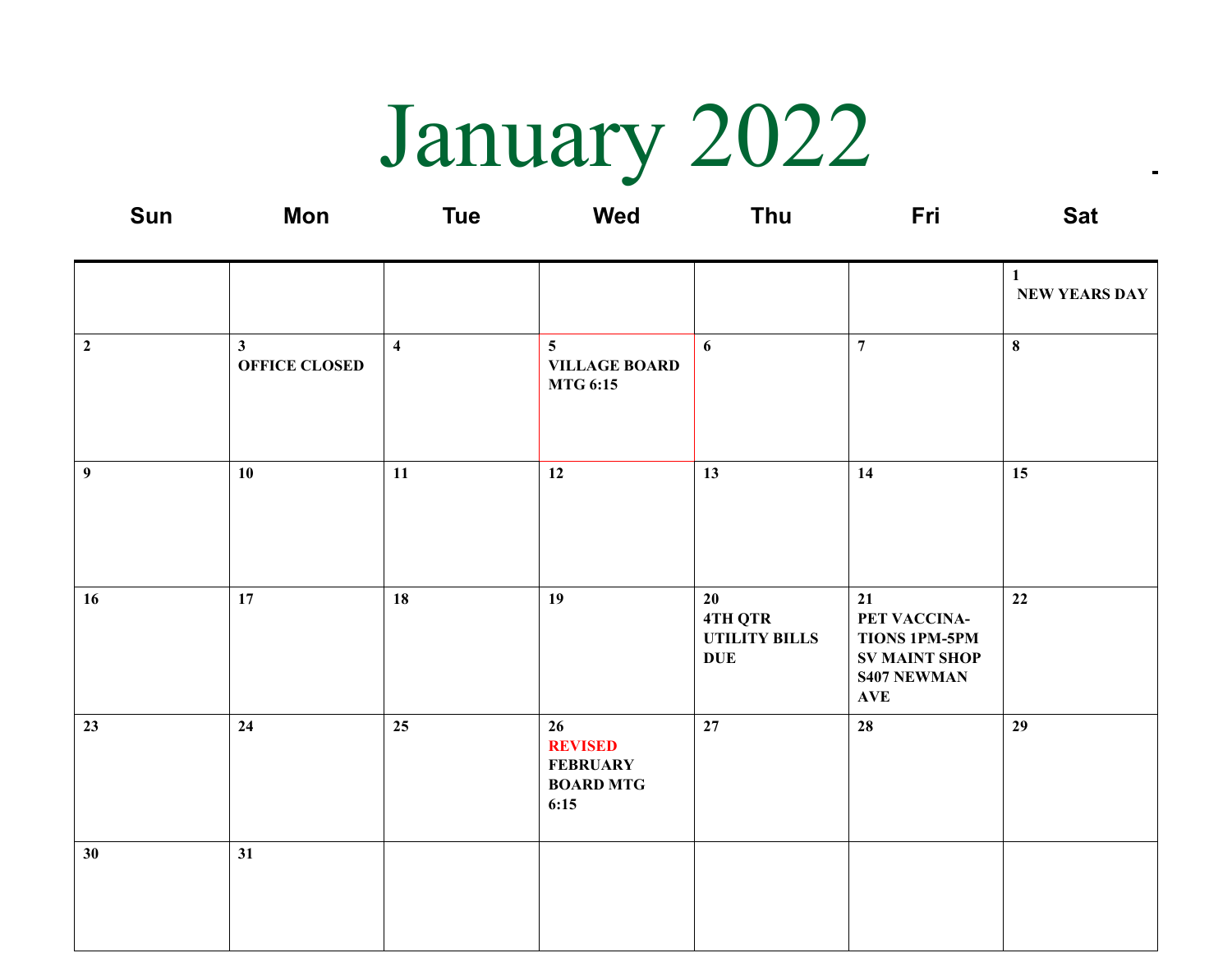January 2022

| Sun              | <b>Mon</b>                           | <b>Tue</b>              | <b>Wed</b>                                                          | Thu                                                 | Fri                                                                                                    | <b>Sat</b>                           |
|------------------|--------------------------------------|-------------------------|---------------------------------------------------------------------|-----------------------------------------------------|--------------------------------------------------------------------------------------------------------|--------------------------------------|
|                  |                                      |                         |                                                                     |                                                     |                                                                                                        | $\mathbf{1}$<br><b>NEW YEARS DAY</b> |
| $\boldsymbol{2}$ | $\mathbf{3}$<br><b>OFFICE CLOSED</b> | $\overline{\mathbf{4}}$ | $\overline{5}$<br><b>VILLAGE BOARD</b><br><b>MTG 6:15</b>           | 6                                                   | $\boldsymbol{7}$                                                                                       | $\bf{8}$                             |
| 9                | 10                                   | 11                      | 12                                                                  | 13                                                  | 14                                                                                                     | 15                                   |
| 16               | 17                                   | 18                      | 19                                                                  | 20<br>4TH QTR<br><b>UTILITY BILLS</b><br><b>DUE</b> | 21<br>PET VACCINA-<br><b>TIONS 1PM-5PM</b><br><b>SV MAINT SHOP</b><br><b>S407 NEWMAN</b><br><b>AVE</b> | 22                                   |
| 23               | 24                                   | 25                      | 26<br><b>REVISED</b><br><b>FEBRUARY</b><br><b>BOARD MTG</b><br>6:15 | 27                                                  | 28                                                                                                     | 29                                   |
| 30 <sup>°</sup>  | 31                                   |                         |                                                                     |                                                     |                                                                                                        |                                      |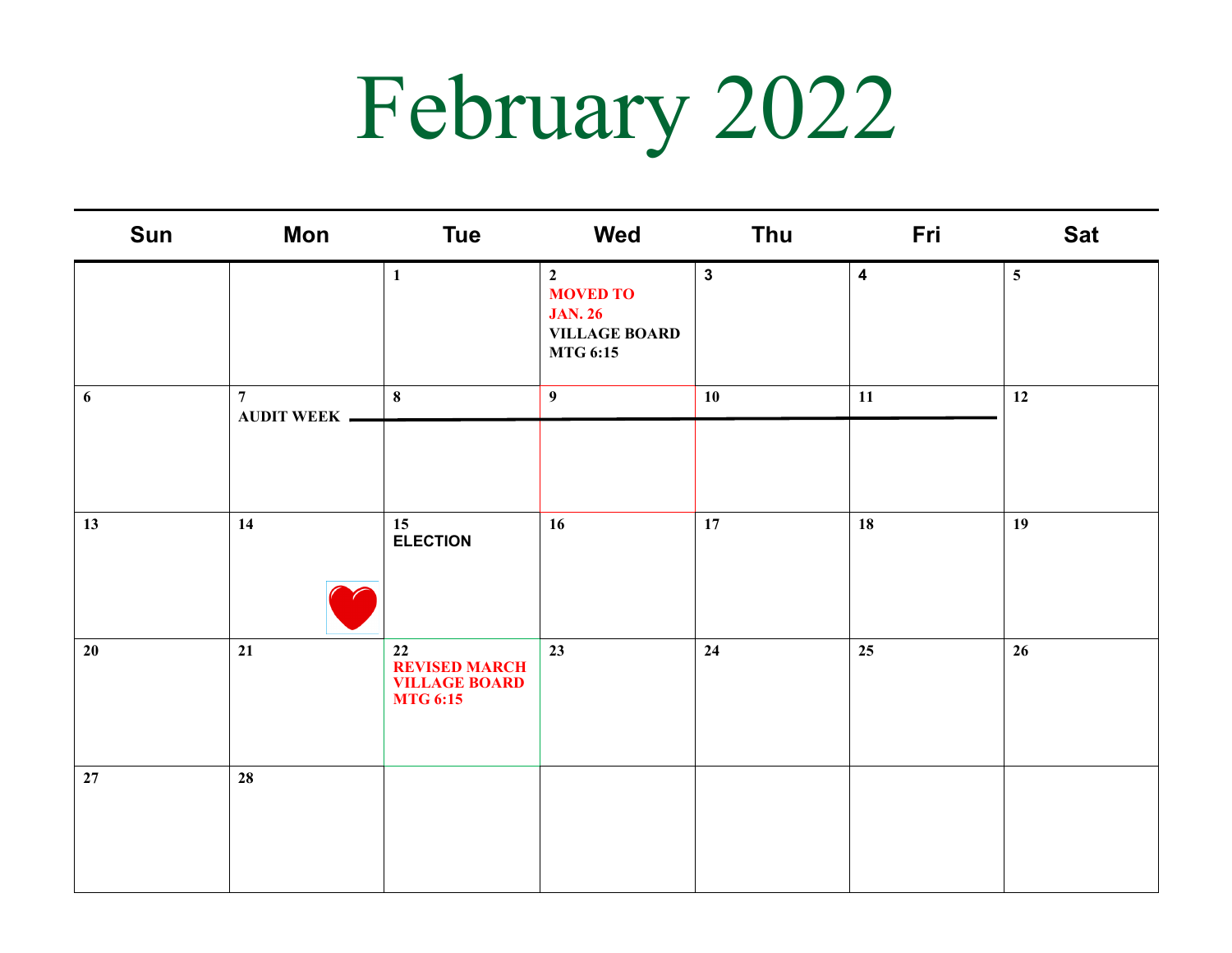## February 2022

| Sun | <b>Mon</b>                             | <b>Tue</b>                                                            | Wed                                                                                            | <b>Thu</b>   | Fri                     | <b>Sat</b>      |
|-----|----------------------------------------|-----------------------------------------------------------------------|------------------------------------------------------------------------------------------------|--------------|-------------------------|-----------------|
|     |                                        | $\mathbf{1}$                                                          | $\overline{2}$<br><b>MOVED TO</b><br><b>JAN. 26</b><br><b>VILLAGE BOARD</b><br><b>MTG 6:15</b> | $\mathbf{3}$ | $\overline{\mathbf{4}}$ | $5\overline{)}$ |
| 6   | $7\overline{ }$<br><b>AUDIT WEEK -</b> | 8                                                                     | 9                                                                                              | 10           | 11                      | 12              |
| 13  | 14                                     | 15<br><b>ELECTION</b>                                                 | 16                                                                                             | 17           | 18                      | 19              |
| 20  | 21                                     | 22<br><b>REVISED MARCH</b><br><b>VILLAGE BOARD</b><br><b>MTG 6:15</b> | 23                                                                                             | 24           | 25                      | 26              |
| 27  | 28                                     |                                                                       |                                                                                                |              |                         |                 |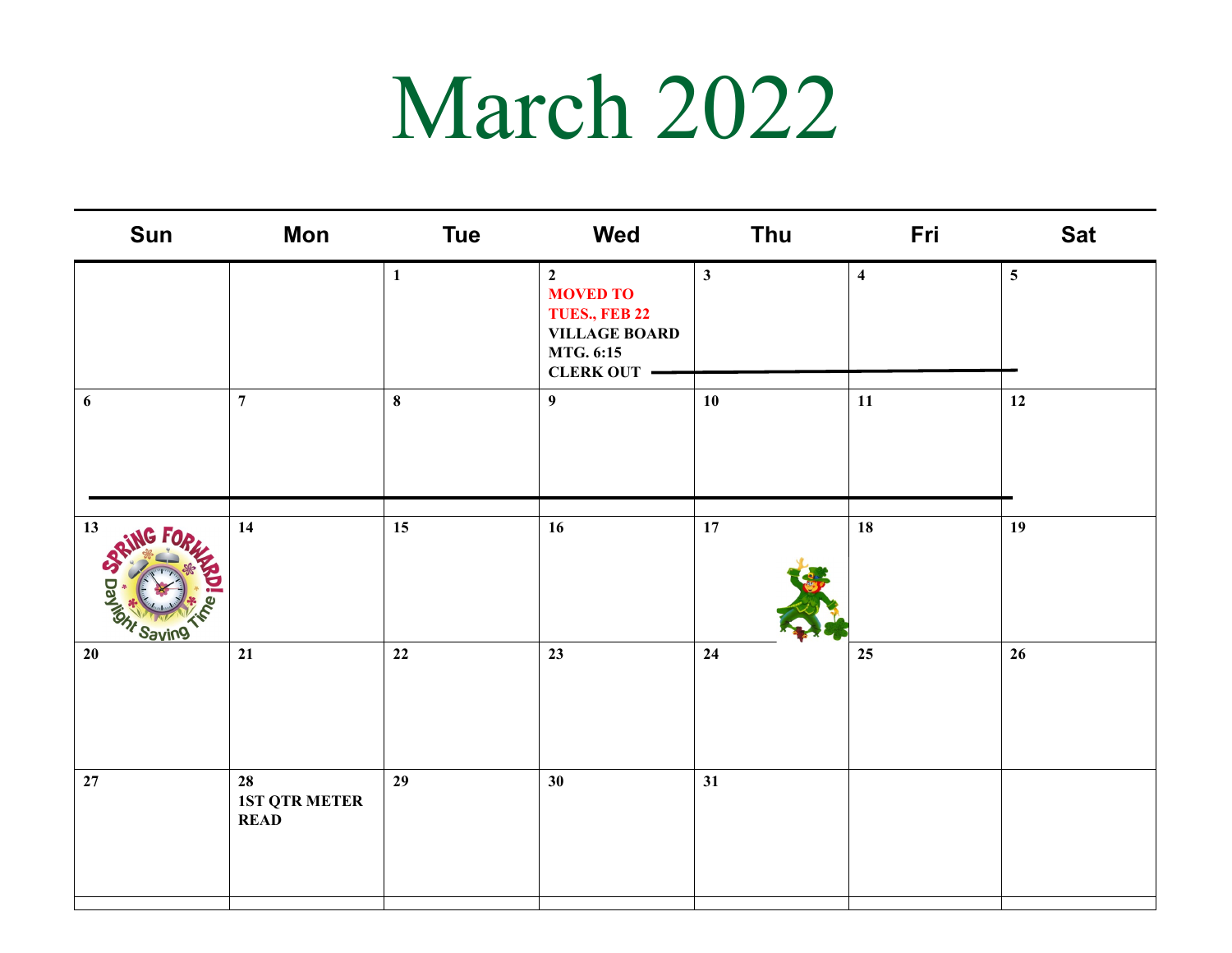### March 2022

| Sun                 | Mon                                       | <b>Tue</b>   | Wed                                                                                                                  | <b>Thu</b>   | Fri                     | <b>Sat</b>      |
|---------------------|-------------------------------------------|--------------|----------------------------------------------------------------------------------------------------------------------|--------------|-------------------------|-----------------|
|                     |                                           | $\mathbf{1}$ | $\overline{2}$<br><b>MOVED TO</b><br>TUES., FEB 22<br><b>VILLAGE BOARD</b><br><b>MTG. 6:15</b><br><b>CLERK OUT -</b> | $\mathbf{3}$ | $\overline{\mathbf{4}}$ | $5\overline{)}$ |
| 6                   | $\overline{7}$                            | $\bf{8}$     | 9                                                                                                                    | 10           | 11                      | 12              |
| 13<br>Tom<br>Saving | 14                                        | 15           | 16                                                                                                                   | 17           | 18                      | 19              |
| 20                  | 21                                        | $22\,$       | 23                                                                                                                   | 24           | 25                      | 26              |
| 27                  | 28<br><b>1ST QTR METER</b><br><b>READ</b> | 29           | 30                                                                                                                   | 31           |                         |                 |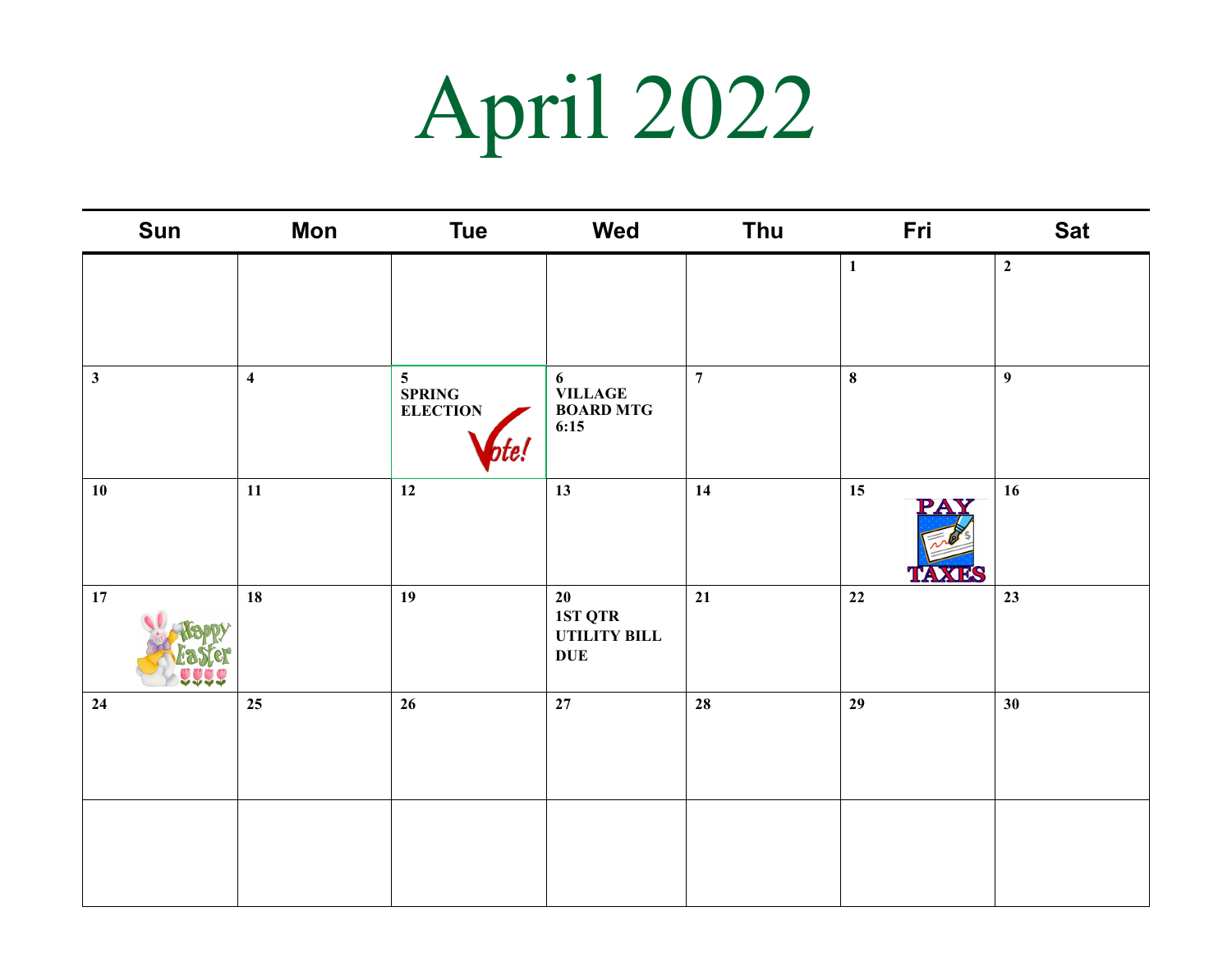# April 2022

| Sun              | <b>Mon</b>              | <b>Tue</b>              | Wed                                                   | Thu              | Fri                | <b>Sat</b>       |
|------------------|-------------------------|-------------------------|-------------------------------------------------------|------------------|--------------------|------------------|
|                  |                         |                         |                                                       |                  | $\mathbf{1}$       | $\overline{2}$   |
| $\mathbf{3}$     | $\overline{\mathbf{4}}$ | 5<br>SPRING<br>ELECTION | 6<br><b>VILLAGE<br/>BOARD MTG</b><br>6:15             | $\boldsymbol{7}$ | $\pmb{8}$          | $\boldsymbol{9}$ |
| 10               | $11\,$                  | 12                      | 13                                                    | 14               | 15<br><b>TAXES</b> | 16               |
| $17\phantom{.0}$ | 18                      | 19                      | $20\,$<br>1ST QTR<br><b>UTILITY BILL</b><br>$\bf DUE$ | 21               | $22\,$             | 23               |
| 24               | 25                      | 26                      | 27                                                    | 28               | 29                 | 30               |
|                  |                         |                         |                                                       |                  |                    |                  |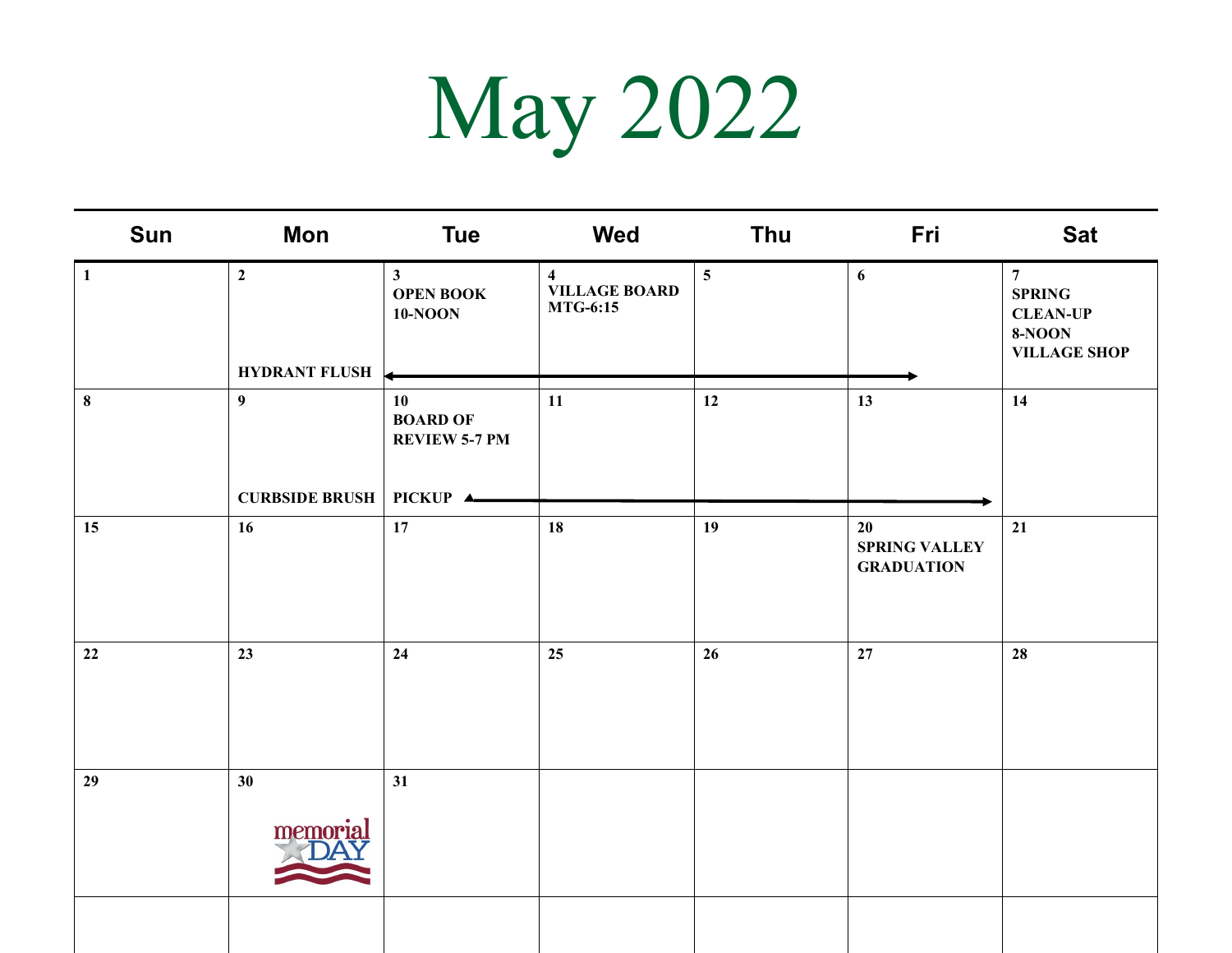## May 2022

| Sun          | Mon                                              | <b>Tue</b>                                         | Wed                                                                | Thu            | Fri                                             | <b>Sat</b>                                                                                  |
|--------------|--------------------------------------------------|----------------------------------------------------|--------------------------------------------------------------------|----------------|-------------------------------------------------|---------------------------------------------------------------------------------------------|
| $\mathbf{1}$ | $\boldsymbol{2}$<br><b>HYDRANT FLUSH</b>         | $\mathbf{3}$<br><b>OPEN BOOK</b><br><b>10-NOON</b> | $\overline{\mathbf{4}}$<br><b>VILLAGE BOARD</b><br><b>MTG-6:15</b> | $\overline{5}$ | 6                                               | $7\overline{ }$<br><b>SPRING</b><br><b>CLEAN-UP</b><br><b>8-NOON</b><br><b>VILLAGE SHOP</b> |
| $\bf{8}$     | 9 <sup>1</sup><br><b>CURBSIDE BRUSH PICKUP 4</b> | 10<br><b>BOARD OF</b><br><b>REVIEW 5-7 PM</b>      | 11                                                                 | 12             | 13                                              | 14                                                                                          |
| 15           | 16                                               | 17                                                 | 18                                                                 | 19             | 20<br><b>SPRING VALLEY</b><br><b>GRADUATION</b> | 21                                                                                          |
| 22           | 23                                               | 24                                                 | 25                                                                 | 26             | 27                                              | 28                                                                                          |
| 29           | 30 <sup>°</sup><br>memorial                      | 31                                                 |                                                                    |                |                                                 |                                                                                             |
|              |                                                  |                                                    |                                                                    |                |                                                 |                                                                                             |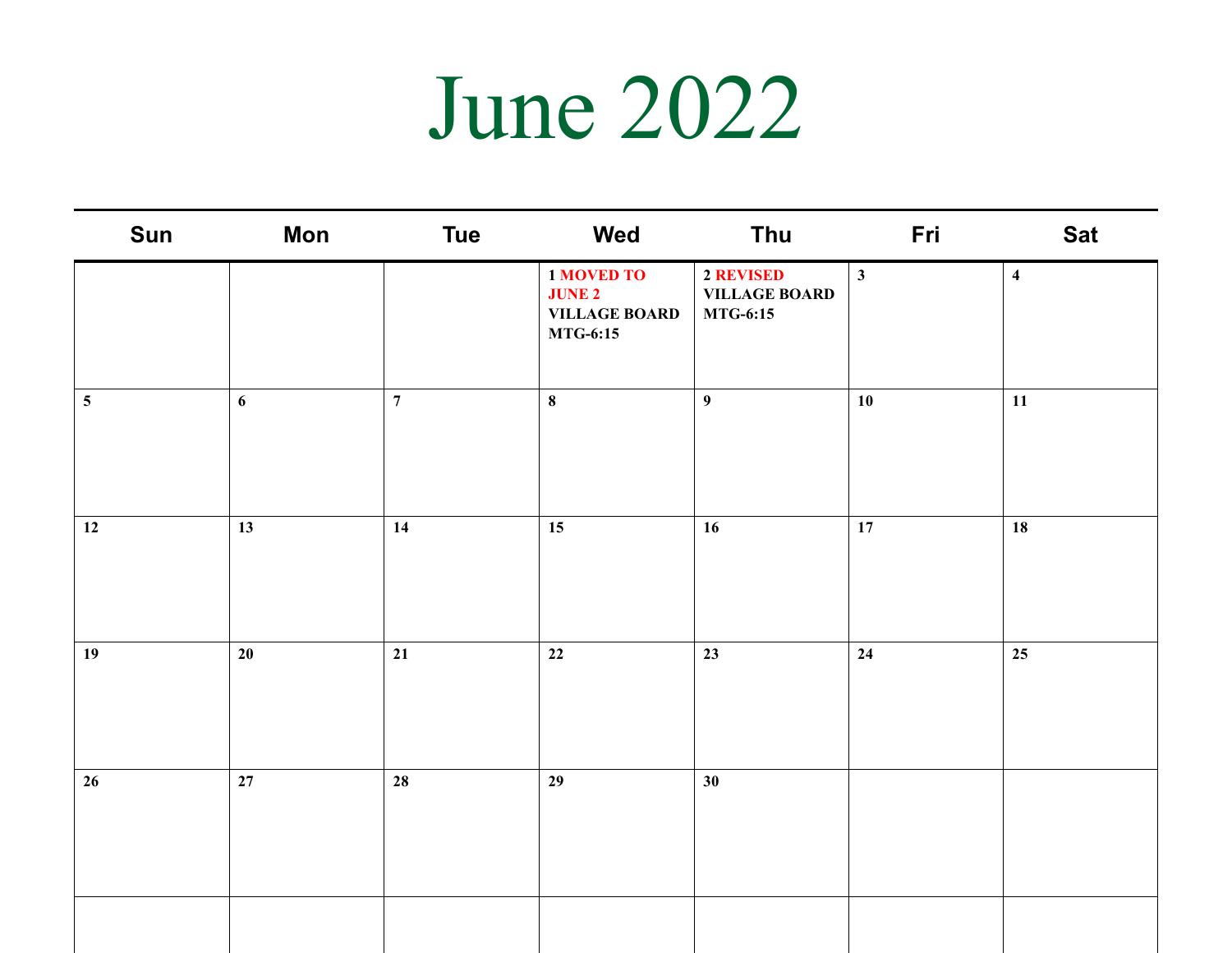#### June 2022

| Sun             | Mon    | <b>Tue</b>     | Wed                                                                           | Thu                                                  | Fri          | <b>Sat</b>              |
|-----------------|--------|----------------|-------------------------------------------------------------------------------|------------------------------------------------------|--------------|-------------------------|
|                 |        |                | <b>1 MOVED TO</b><br><b>JUNE 2</b><br><b>VILLAGE BOARD</b><br><b>MTG-6:15</b> | 2 REVISED<br><b>VILLAGE BOARD</b><br><b>MTG-6:15</b> | $\mathbf{3}$ | $\overline{\mathbf{4}}$ |
| $5\phantom{.0}$ | 6      | $\overline{7}$ | $\bf8$                                                                        | 9 <sup>°</sup>                                       | 10           | 11                      |
| 12              | 13     | 14             | 15                                                                            | 16                                                   | 17           | 18                      |
| 19              | 20     | 21             | 22                                                                            | 23                                                   | 24           | 25                      |
| 26              | $27\,$ | 28             | 29                                                                            | 30                                                   |              |                         |
|                 |        |                |                                                                               |                                                      |              |                         |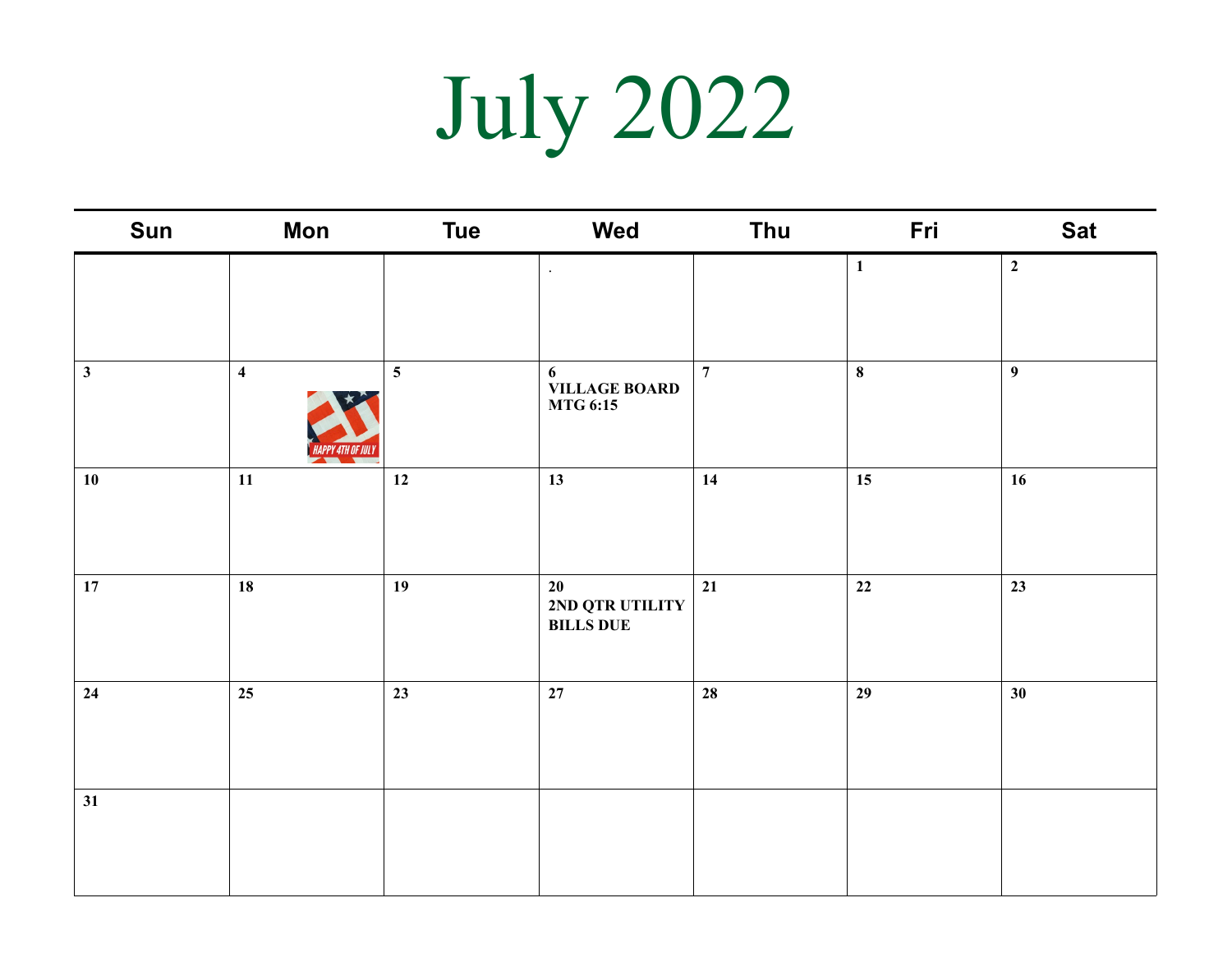# July 2022

| Sun          | <b>Mon</b>              | <b>Tue</b>              | Wed                                       | Thu            | Fri          | <b>Sat</b>       |
|--------------|-------------------------|-------------------------|-------------------------------------------|----------------|--------------|------------------|
|              |                         |                         | $\cdot$                                   |                | $\mathbf{1}$ | $\overline{2}$   |
| $\mathbf{3}$ | $\overline{\mathbf{4}}$ | $\overline{\mathbf{5}}$ | 6<br>VILLAGE BOARD<br><b>MTG 6:15</b>     | $\overline{7}$ | $\bf 8$      | $\boldsymbol{9}$ |
| 10           | $11\,$                  | 12                      | 13                                        | 14             | 15           | 16               |
| 17           | 18                      | 19                      | 20<br>2ND QTR UTILITY<br><b>BILLS DUE</b> | 21             | 22           | 23               |
| 24           | 25                      | 23                      | 27                                        | 28             | 29           | 30 <sup>°</sup>  |
| 31           |                         |                         |                                           |                |              |                  |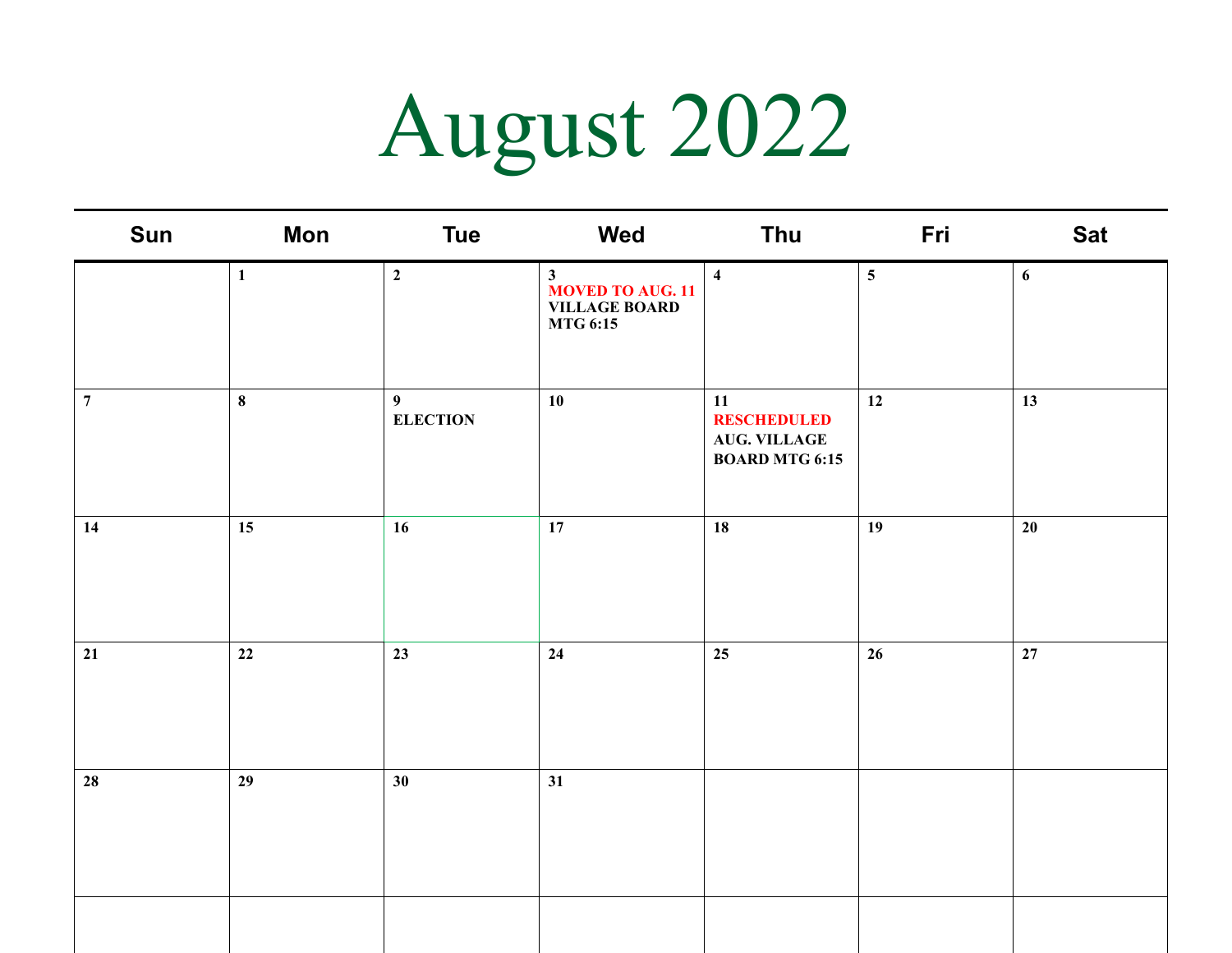# August 2022

| Sun            | <b>Mon</b>   | <b>Tue</b>                        | Wed                                                                                | Thu                                                                      | Fri             | <b>Sat</b> |
|----------------|--------------|-----------------------------------|------------------------------------------------------------------------------------|--------------------------------------------------------------------------|-----------------|------------|
|                | $\mathbf{1}$ | $\mathbf{2}$                      | $\mathbf{3}$<br><b>MOVED TO AUG. 11</b><br><b>VILLAGE BOARD</b><br><b>MTG 6:15</b> | $\overline{\mathbf{4}}$                                                  | $5\phantom{.0}$ | 6          |
| $\overline{7}$ | $\bf{8}$     | $\overline{9}$<br><b>ELECTION</b> | 10                                                                                 | 11<br><b>RESCHEDULED</b><br><b>AUG. VILLAGE</b><br><b>BOARD MTG 6:15</b> | 12              | 13         |
| 14             | 15           | 16                                | 17                                                                                 | 18                                                                       | 19              | $20\,$     |
| 21             | 22           | 23                                | 24                                                                                 | 25                                                                       | 26              | 27         |
| ${\bf 28}$     | 29           | 30                                | 31                                                                                 |                                                                          |                 |            |
|                |              |                                   |                                                                                    |                                                                          |                 |            |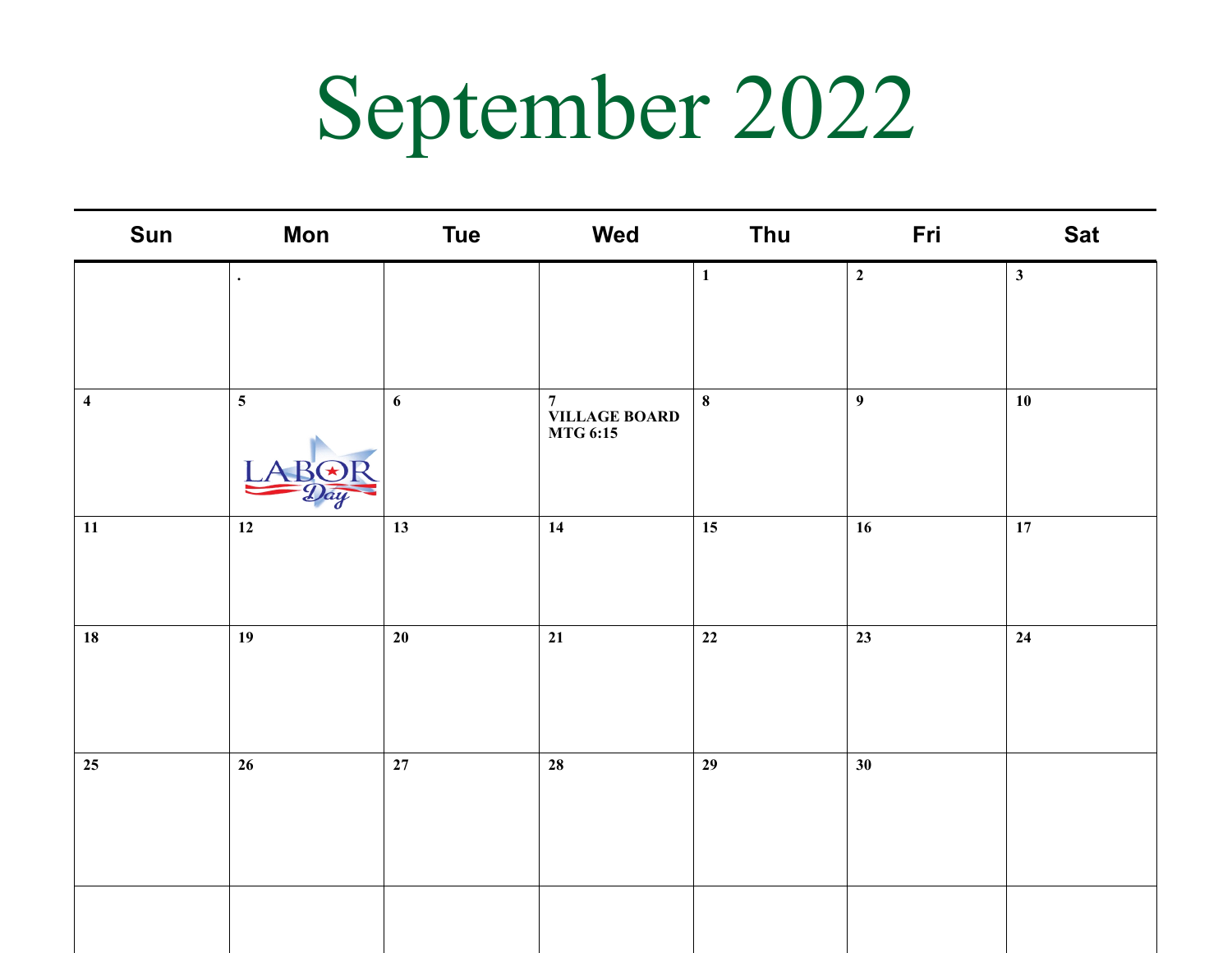## September 2022

| Sun                     | <b>Mon</b>      | <b>Tue</b>       | Wed                                                 | Thu          | Fri            | <b>Sat</b>   |
|-------------------------|-----------------|------------------|-----------------------------------------------------|--------------|----------------|--------------|
|                         | $\bullet$       |                  |                                                     | $\mathbf{1}$ | $\overline{2}$ | $\mathbf{3}$ |
|                         |                 |                  |                                                     |              |                |              |
| $\overline{\mathbf{4}}$ | $5\overline{)}$ | $\boldsymbol{6}$ | $\overline{7}$<br><b>VILLAGE BOARD<br/>MTG 6:15</b> | $\bf8$       | $\overline{9}$ | 10           |
| 11                      | 12              | 13               | 14                                                  | 15           | 16             | 17           |
| 18                      | 19              | 20               | 21                                                  | 22           | 23             | 24           |
|                         |                 |                  |                                                     |              |                |              |
| 25                      | $26\phantom{.}$ | $27\,$           | 28                                                  | 29           | 30             |              |
|                         |                 |                  |                                                     |              |                |              |
|                         |                 |                  |                                                     |              |                |              |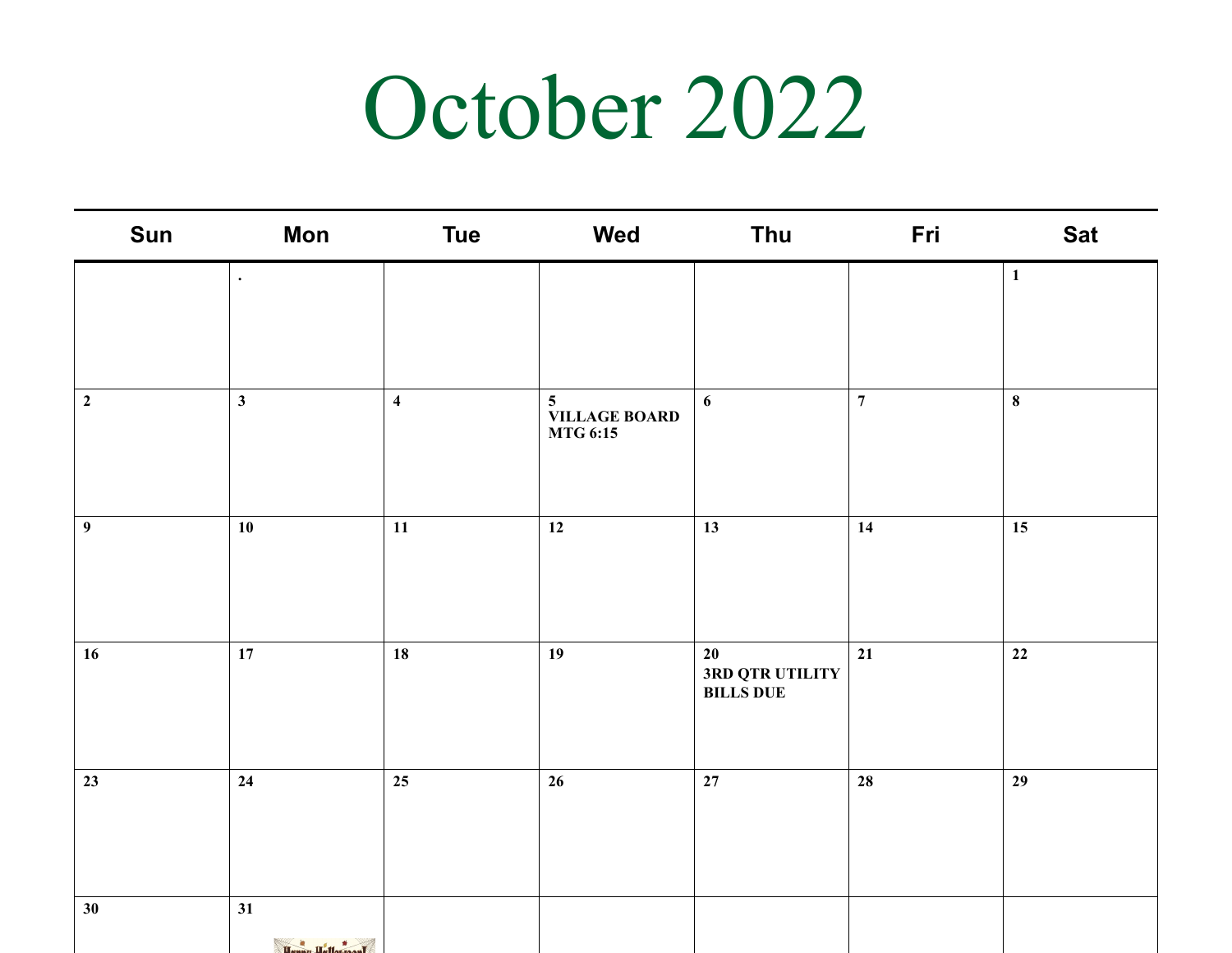#### October 2022

| Sun              | <b>Mon</b>                     | <b>Tue</b>              | Wed                                                        | Thu                                       | Fri            | <b>Sat</b>   |
|------------------|--------------------------------|-------------------------|------------------------------------------------------------|-------------------------------------------|----------------|--------------|
|                  | $\bullet$                      |                         |                                                            |                                           |                | $\mathbf{1}$ |
| $\mathbf{2}$     | $\mathbf{3}$                   | $\overline{\mathbf{4}}$ | $5\overline{)}$<br><b>VILLAGE BOARD</b><br><b>MTG 6:15</b> | 6                                         | $\overline{7}$ | $\bf{8}$     |
| $\boldsymbol{9}$ | 10                             | $11\,$                  | 12                                                         | 13                                        | 14             | 15           |
| 16               | 17                             | 18                      | 19                                                         | 20<br>3RD QTR UTILITY<br><b>BILLS DUE</b> | 21             | 22           |
| 23               | 24                             | 25                      | 26                                                         | $27\,$                                    | ${\bf 28}$     | 29           |
| 30               | 31<br><b>Extra Unit Avenue</b> |                         |                                                            |                                           |                |              |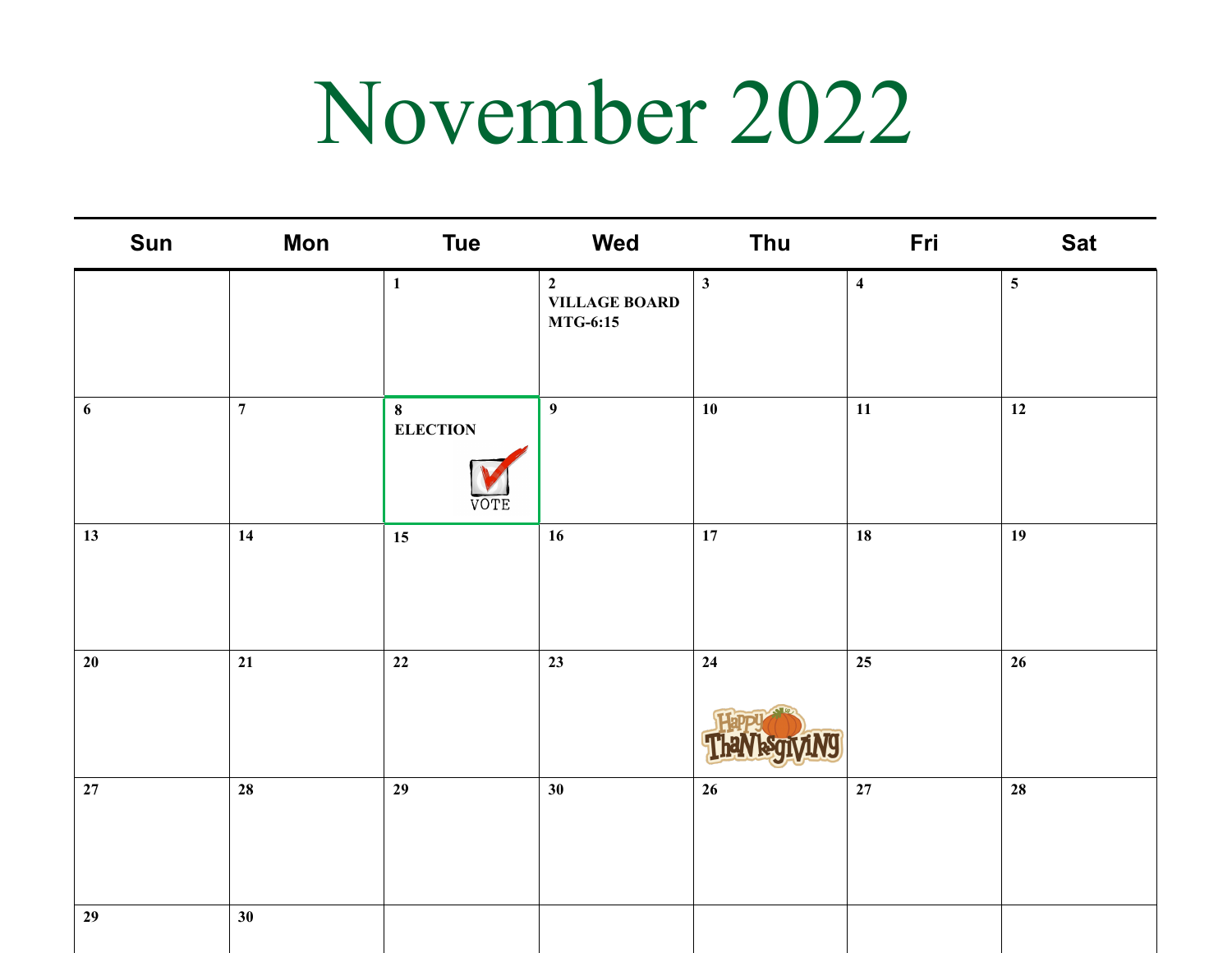### November 2022

| Sun              | <b>Mon</b>     | <b>Tue</b>                           | Wed                                                       | Thu             | Fri                     | <b>Sat</b>     |
|------------------|----------------|--------------------------------------|-----------------------------------------------------------|-----------------|-------------------------|----------------|
|                  |                | $\mathbf{1}$                         | $\overline{2}$<br><b>VILLAGE BOARD</b><br><b>MTG-6:15</b> | $\mathbf{3}$    | $\overline{\mathbf{4}}$ | 5 <sup>5</sup> |
| $\boldsymbol{6}$ | $\overline{7}$ | $\pmb{8}$<br><b>ELECTION</b><br>'OTE | $\overline{9}$                                            | 10              | 11                      | 12             |
| 13               | 14             | 15                                   | 16                                                        | $17\,$          | 18                      | 19             |
| $20\,$           | 21             | $\bf{22}$                            | 23                                                        | 24              | 25                      | 26             |
| $27\,$           | 28             | 29                                   | 30 <sup>°</sup>                                           | $26\phantom{.}$ | 27                      | 28             |
| 29               | 30             |                                      |                                                           |                 |                         |                |